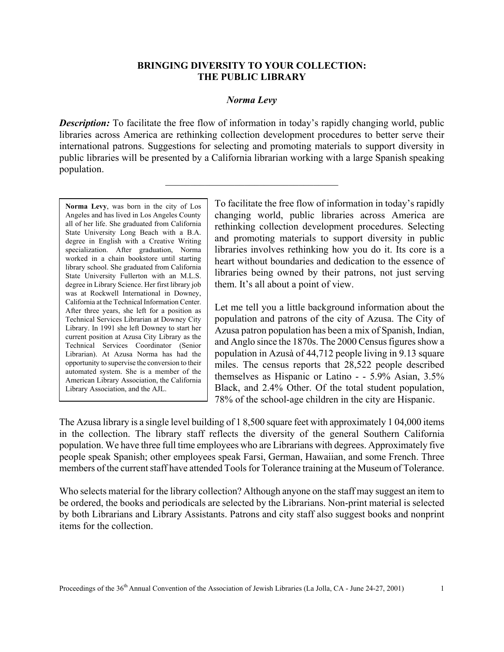## **BRINGING DIVERSITY TO YOUR COLLECTION: THE PUBLIC LIBRARY**

## *Norma Levy*

*Description:* To facilitate the free flow of information in today's rapidly changing world, public libraries across America are rethinking collection development procedures to better serve their international patrons. Suggestions for selecting and promoting materials to support diversity in public libraries will be presented by a California librarian working with a large Spanish speaking population.

 $\mathcal{L}_\text{max}$ 

**Norma Levy**, was born in the city of Los Angeles and has lived in Los Angeles County all of her life. She graduated from California State University Long Beach with a B.A. degree in English with a Creative Writing specialization. After graduation, Norma worked in a chain bookstore until starting library school. She graduated from California State University Fullerton with an M.L.S. degree in Library Science. Her first library job was at Rockwell International in Downey, California at the Technical Information Center. After three years, she left for a position as Technical Services Librarian at Downey City Library. In 1991 she left Downey to start her current position at Azusa City Library as the Technical Services Coordinator (Senior Librarian). At Azusa Norma has had the opportunity to supervise the conversion to their automated system. She is a member of the American Library Association, the California Library Association, and the AJL.

To facilitate the free flow of information in today's rapidly changing world, public libraries across America are rethinking collection development procedures. Selecting and promoting materials to support diversity in public libraries involves rethinking how you do it. Its core is a heart without boundaries and dedication to the essence of libraries being owned by their patrons, not just serving them. It's all about a point of view.

Let me tell you a little background information about the population and patrons of the city of Azusa. The City of Azusa patron population has been a mix of Spanish, Indian, and Anglo since the 1870s. The 2000 Census figures show a population in Azusà of 44,712 people living in 9.13 square miles. The census reports that 28,522 people described themselves as Hispanic or Latino - - 5.9% Asian, 3.5% Black, and 2.4% Other. Of the total student population, 78% of the school-age children in the city are Hispanic.

The Azusa library is a single level building of 1 8,500 square feet with approximately 1 04,000 items in the collection. The library staff reflects the diversity of the general Southern California population. We have three full time employees who are Librarians with degrees. Approximately five people speak Spanish; other employees speak Farsi, German, Hawaiian, and some French. Three members of the current staff have attended Tools for Tolerance training at the Museum of Tolerance.

Who selects material for the library collection? Although anyone on the staff may suggest an item to be ordered, the books and periodicals are selected by the Librarians. Non-print material is selected by both Librarians and Library Assistants. Patrons and city staff also suggest books and nonprint items for the collection.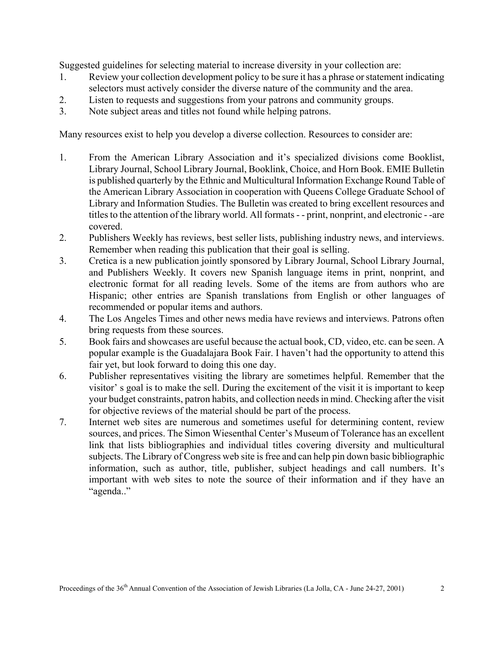Suggested guidelines for selecting material to increase diversity in your collection are:

- 1. Review your collection development policy to be sure it has a phrase or statement indicating selectors must actively consider the diverse nature of the community and the area.
- 2. Listen to requests and suggestions from your patrons and community groups.
- 3. Note subject areas and titles not found while helping patrons.

Many resources exist to help you develop a diverse collection. Resources to consider are:

- 1. From the American Library Association and it's specialized divisions come Booklist, Library Journal, School Library Journal, Booklink, Choice, and Horn Book. EMIE Bulletin is published quarterly by the Ethnic and Multicultural Information Exchange Round Table of the American Library Association in cooperation with Queens College Graduate School of Library and Information Studies. The Bulletin was created to bring excellent resources and titles to the attention of the library world. All formats - - print, nonprint, and electronic - -are covered.
- 2. Publishers Weekly has reviews, best seller lists, publishing industry news, and interviews. Remember when reading this publication that their goal is selling.
- 3. Cretica is a new publication jointly sponsored by Library Journal, School Library Journal, and Publishers Weekly. It covers new Spanish language items in print, nonprint, and electronic format for all reading levels. Some of the items are from authors who are Hispanic; other entries are Spanish translations from English or other languages of recommended or popular items and authors.
- 4. The Los Angeles Times and other news media have reviews and interviews. Patrons often bring requests from these sources.
- 5. Book fairs and showcases are useful because the actual book, CD, video, etc. can be seen. A popular example is the Guadalajara Book Fair. I haven't had the opportunity to attend this fair yet, but look forward to doing this one day.
- 6. Publisher representatives visiting the library are sometimes helpful. Remember that the visitor' s goal is to make the sell. During the excitement of the visit it is important to keep your budget constraints, patron habits, and collection needs in mind. Checking after the visit for objective reviews of the material should be part of the process.
- 7. Internet web sites are numerous and sometimes useful for determining content, review sources, and prices. The Simon Wiesenthal Center's Museum of Tolerance has an excellent link that lists bibliographies and individual titles covering diversity and multicultural subjects. The Library of Congress web site is free and can help pin down basic bibliographic information, such as author, title, publisher, subject headings and call numbers. It's important with web sites to note the source of their information and if they have an "agenda.."